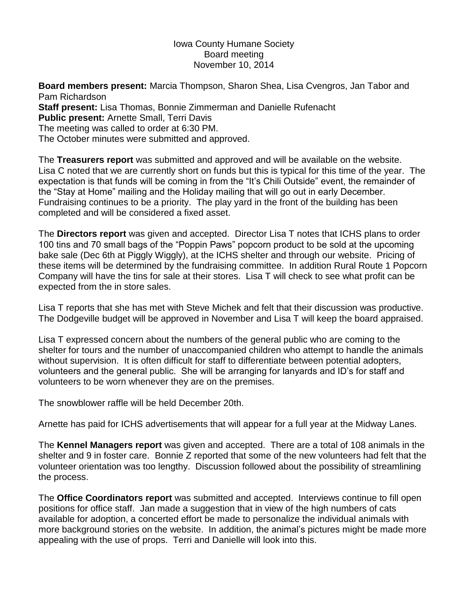## Iowa County Humane Society Board meeting November 10, 2014

**Board members present:** Marcia Thompson, Sharon Shea, Lisa Cvengros, Jan Tabor and Pam Richardson **Staff present:** Lisa Thomas, Bonnie Zimmerman and Danielle Rufenacht **Public present:** Arnette Small, Terri Davis The meeting was called to order at 6:30 PM. The October minutes were submitted and approved.

The **Treasurers report** was submitted and approved and will be available on the website. Lisa C noted that we are currently short on funds but this is typical for this time of the year. The expectation is that funds will be coming in from the "It's Chili Outside" event, the remainder of the "Stay at Home" mailing and the Holiday mailing that will go out in early December. Fundraising continues to be a priority. The play yard in the front of the building has been completed and will be considered a fixed asset.

The **Directors report** was given and accepted. Director Lisa T notes that ICHS plans to order 100 tins and 70 small bags of the "Poppin Paws" popcorn product to be sold at the upcoming bake sale (Dec 6th at Piggly Wiggly), at the ICHS shelter and through our website. Pricing of these items will be determined by the fundraising committee. In addition Rural Route 1 Popcorn Company will have the tins for sale at their stores. Lisa T will check to see what profit can be expected from the in store sales.

Lisa T reports that she has met with Steve Michek and felt that their discussion was productive. The Dodgeville budget will be approved in November and Lisa T will keep the board appraised.

Lisa T expressed concern about the numbers of the general public who are coming to the shelter for tours and the number of unaccompanied children who attempt to handle the animals without supervision. It is often difficult for staff to differentiate between potential adopters, volunteers and the general public. She will be arranging for lanyards and ID's for staff and volunteers to be worn whenever they are on the premises.

The snowblower raffle will be held December 20th.

Arnette has paid for ICHS advertisements that will appear for a full year at the Midway Lanes.

The **Kennel Managers report** was given and accepted. There are a total of 108 animals in the shelter and 9 in foster care. Bonnie Z reported that some of the new volunteers had felt that the volunteer orientation was too lengthy. Discussion followed about the possibility of streamlining the process.

The **Office Coordinators report** was submitted and accepted. Interviews continue to fill open positions for office staff. Jan made a suggestion that in view of the high numbers of cats available for adoption, a concerted effort be made to personalize the individual animals with more background stories on the website. In addition, the animal's pictures might be made more appealing with the use of props. Terri and Danielle will look into this.